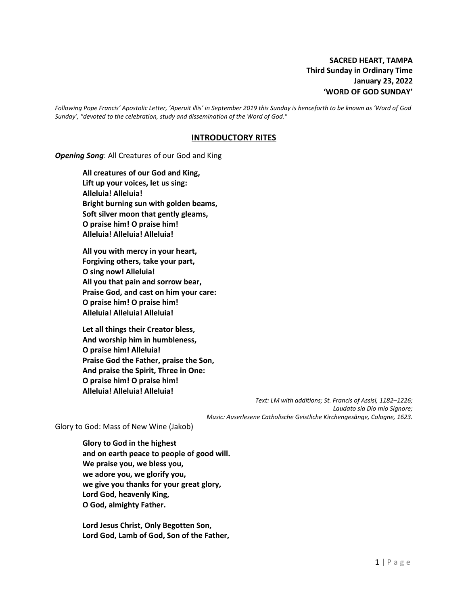*Following Pope Francis' Apostolic Letter, 'Aperuit illis' in September 2019 this Sunday is henceforth to be known as 'Word of God Sunday', "devoted to the celebration, study and dissemination of the Word of God."*

#### **INTRODUCTORY RITES**

*Opening Song*: All Creatures of our God and King

**All creatures of our God and King, Lift up your voices, let us sing: Alleluia! Alleluia! Bright burning sun with golden beams, Soft silver moon that gently gleams, O praise him! O praise him! Alleluia! Alleluia! Alleluia!**

**All you with mercy in your heart, Forgiving others, take your part, O sing now! Alleluia! All you that pain and sorrow bear, Praise God, and cast on him your care: O praise him! O praise him! Alleluia! Alleluia! Alleluia!**

**Let all things their Creator bless, And worship him in humbleness, O praise him! Alleluia! Praise God the Father, praise the Son, And praise the Spirit, Three in One: O praise him! O praise him! Alleluia! Alleluia! Alleluia!**

> *Text: LM with additions; St. Francis of Assisi, 1182–1226; Laudato sia Dio mio Signore; Music: Auserlesene Catholische Geistliche Kirchengesänge, Cologne, 1623.*

Glory to God: Mass of New Wine (Jakob)

**Glory to God in the highest and on earth peace to people of good will. We praise you, we bless you, we adore you, we glorify you, we give you thanks for your great glory, Lord God, heavenly King, O God, almighty Father.**

**Lord Jesus Christ, Only Begotten Son, Lord God, Lamb of God, Son of the Father,**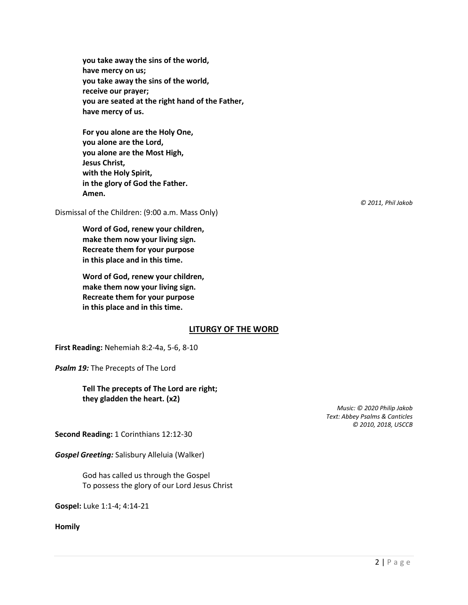**you take away the sins of the world, have mercy on us; you take away the sins of the world, receive our prayer; you are seated at the right hand of the Father, have mercy of us.**

**For you alone are the Holy One, you alone are the Lord, you alone are the Most High, Jesus Christ, with the Holy Spirit, in the glory of God the Father. Amen.**

Dismissal of the Children: (9:00 a.m. Mass Only)

**Word of God, renew your children, make them now your living sign. Recreate them for your purpose in this place and in this time.**

**Word of God, renew your children, make them now your living sign. Recreate them for your purpose in this place and in this time.**

## **LITURGY OF THE WORD**

**First Reading:** Nehemiah 8:2-4a, 5-6, 8-10

*Psalm 19:* The Precepts of The Lord

**Tell The precepts of The Lord are right; they gladden the heart. (x2)**

> *Music: © 2020 Philip Jakob Text: Abbey Psalms & Canticles © 2010, 2018, USCCB*

**Second Reading:** 1 Corinthians 12:12-30

*Gospel Greeting:* Salisbury Alleluia (Walker)

God has called us through the Gospel To possess the glory of our Lord Jesus Christ

**Gospel:** Luke 1:1-4; 4:14-21

**Homily**

*© 2011, Phil Jakob*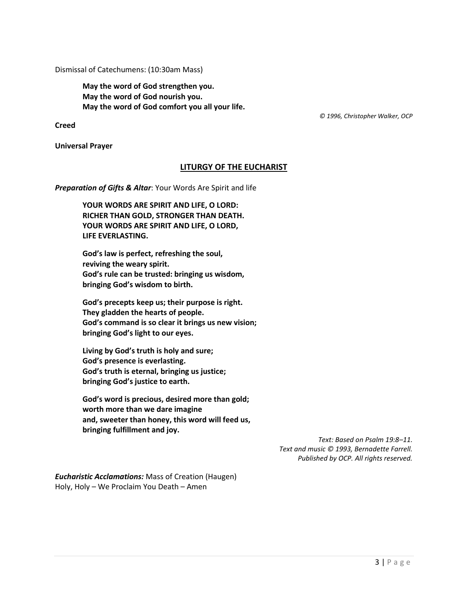Dismissal of Catechumens: (10:30am Mass)

**May the word of God strengthen you. May the word of God nourish you. May the word of God comfort you all your life.**

 *© 1996, Christopher Walker, OCP*

**Creed**

**Universal Prayer**

## **LITURGY OF THE EUCHARIST**

*Preparation of Gifts & Altar*: Your Words Are Spirit and life

**YOUR WORDS ARE SPIRIT AND LIFE, O LORD: RICHER THAN GOLD, STRONGER THAN DEATH. YOUR WORDS ARE SPIRIT AND LIFE, O LORD, LIFE EVERLASTING.**

**God's law is perfect, refreshing the soul, reviving the weary spirit. God's rule can be trusted: bringing us wisdom, bringing God's wisdom to birth.**

**God's precepts keep us; their purpose is right. They gladden the hearts of people. God's command is so clear it brings us new vision; bringing God's light to our eyes.**

**Living by God's truth is holy and sure; God's presence is everlasting. God's truth is eternal, bringing us justice; bringing God's justice to earth.**

**God's word is precious, desired more than gold; worth more than we dare imagine and, sweeter than honey, this word will feed us, bringing fulfillment and joy.**

> *Text: Based on Psalm 19:8–11. Text and music © 1993, Bernadette Farrell. Published by OCP. All rights reserved.*

*Eucharistic Acclamations:* Mass of Creation (Haugen) Holy, Holy – We Proclaim You Death – Amen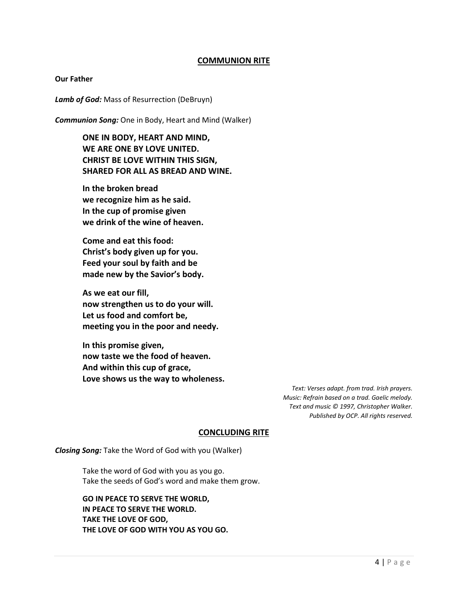## **COMMUNION RITE**

#### **Our Father**

*Lamb of God:* Mass of Resurrection (DeBruyn)

*Communion Song:* One in Body, Heart and Mind (Walker)

**ONE IN BODY, HEART AND MIND, WE ARE ONE BY LOVE UNITED. CHRIST BE LOVE WITHIN THIS SIGN, SHARED FOR ALL AS BREAD AND WINE.**

**In the broken bread we recognize him as he said. In the cup of promise given we drink of the wine of heaven.**

**Come and eat this food: Christ's body given up for you. Feed your soul by faith and be made new by the Savior's body.**

**As we eat our fill, now strengthen us to do your will. Let us food and comfort be, meeting you in the poor and needy.**

**In this promise given, now taste we the food of heaven. And within this cup of grace, Love shows us the way to wholeness.**

> *Text: Verses adapt. from trad. Irish prayers. Music: Refrain based on a trad. Gaelic melody. Text and music © 1997, Christopher Walker. Published by OCP. All rights reserved.*

## **CONCLUDING RITE**

*Closing Song:* Take the Word of God with you (Walker)

Take the word of God with you as you go. Take the seeds of God's word and make them grow.

## **GO IN PEACE TO SERVE THE WORLD, IN PEACE TO SERVE THE WORLD. TAKE THE LOVE OF GOD, THE LOVE OF GOD WITH YOU AS YOU GO.**